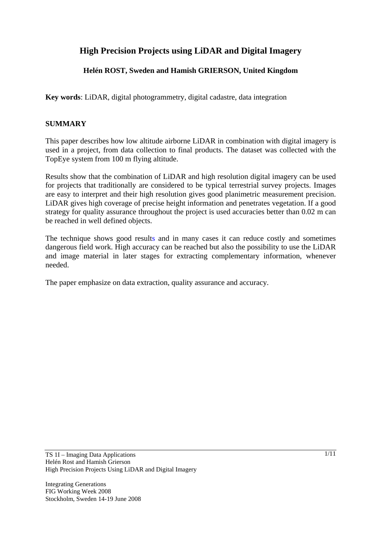# **High Precision Projects using LiDAR and Digital Imagery**

## **Helén ROST, Sweden and Hamish GRIERSON, United Kingdom**

**Key words**: LiDAR, digital photogrammetry, digital cadastre, data integration

### **SUMMARY**

This paper describes how low altitude airborne LiDAR in combination with digital imagery is used in a project, from data collection to final products. The dataset was collected with the TopEye system from 100 m flying altitude.

Results show that the combination of LiDAR and high resolution digital imagery can be used for projects that traditionally are considered to be typical terrestrial survey projects. Images are easy to interpret and their high resolution gives good planimetric measurement precision. LiDAR gives high coverage of precise height information and penetrates vegetation. If a good strategy for quality assurance throughout the project is used accuracies better than 0.02 m can be reached in well defined objects.

The technique shows good results and in many cases it can reduce costly and sometimes dangerous field work. High accuracy can be reached but also the possibility to use the LiDAR and image material in later stages for extracting complementary information, whenever needed.

The paper emphasize on data extraction, quality assurance and accuracy.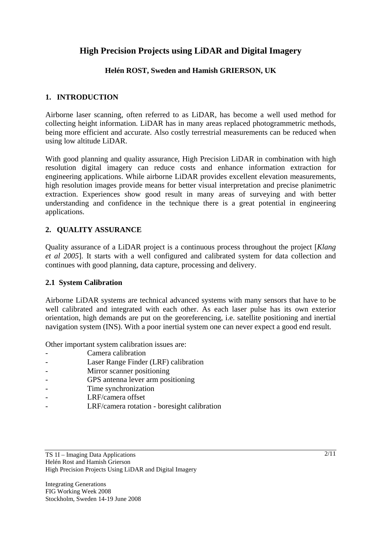# **High Precision Projects using LiDAR and Digital Imagery**

## **Helén ROST, Sweden and Hamish GRIERSON, UK**

### **1. INTRODUCTION**

Airborne laser scanning, often referred to as LiDAR, has become a well used method for collecting height information. LiDAR has in many areas replaced photogrammetric methods, being more efficient and accurate. Also costly terrestrial measurements can be reduced when using low altitude LiDAR.

With good planning and quality assurance, High Precision LiDAR in combination with high resolution digital imagery can reduce costs and enhance information extraction for engineering applications. While airborne LiDAR provides excellent elevation measurements, high resolution images provide means for better visual interpretation and precise planimetric extraction. Experiences show good result in many areas of surveying and with better understanding and confidence in the technique there is a great potential in engineering applications.

## **2. QUALITY ASSURANCE**

Quality assurance of a LiDAR project is a continuous process throughout the project [*Klang et al 2005*]. It starts with a well configured and calibrated system for data collection and continues with good planning, data capture, processing and delivery.

#### **2.1 System Calibration**

Airborne LiDAR systems are technical advanced systems with many sensors that have to be well calibrated and integrated with each other. As each laser pulse has its own exterior orientation, high demands are put on the georeferencing, i.e. satellite positioning and inertial navigation system (INS). With a poor inertial system one can never expect a good end result.

Other important system calibration issues are:

- Camera calibration
- Laser Range Finder (LRF) calibration
- Mirror scanner positioning
- GPS antenna lever arm positioning
- Time synchronization
- LRF/camera offset
- LRF/camera rotation boresight calibration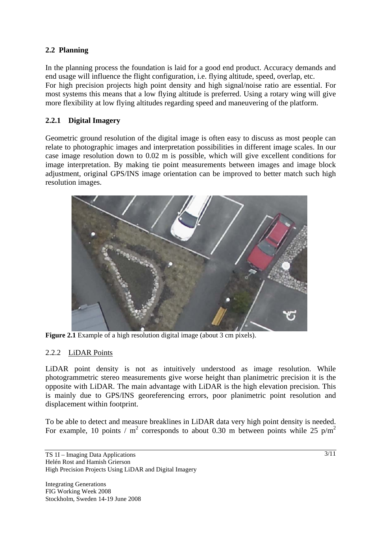## **2.2 Planning**

In the planning process the foundation is laid for a good end product. Accuracy demands and end usage will influence the flight configuration, i.e. flying altitude, speed, overlap, etc. For high precision projects high point density and high signal/noise ratio are essential. For most systems this means that a low flying altitude is preferred. Using a rotary wing will give more flexibility at low flying altitudes regarding speed and maneuvering of the platform.

## **2.2.1 Digital Imagery**

Geometric ground resolution of the digital image is often easy to discuss as most people can relate to photographic images and interpretation possibilities in different image scales. In our case image resolution down to 0.02 m is possible, which will give excellent conditions for image interpretation. By making tie point measurements between images and image block adjustment, original GPS/INS image orientation can be improved to better match such high resolution images.



**Figure 2.1** Example of a high resolution digital image (about 3 cm pixels).

## 2.2.2 LiDAR Points

LiDAR point density is not as intuitively understood as image resolution. While photogrammetric stereo measurements give worse height than planimetric precision it is the opposite with LiDAR. The main advantage with LiDAR is the high elevation precision. This is mainly due to GPS/INS georeferencing errors, poor planimetric point resolution and displacement within footprint.

To be able to detect and measure breaklines in LiDAR data very high point density is needed. For example, 10 points /  $m^2$  corresponds to about 0.30 m between points while 25 p/m<sup>2</sup>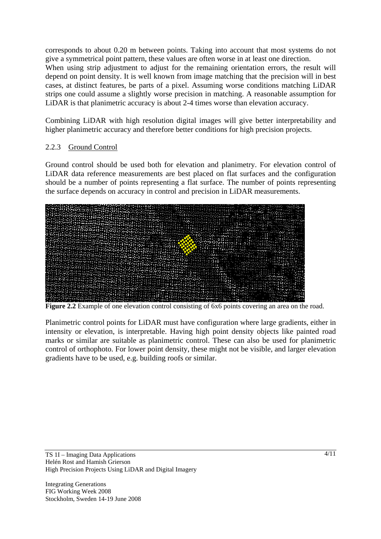corresponds to about 0.20 m between points. Taking into account that most systems do not give a symmetrical point pattern, these values are often worse in at least one direction. When using strip adjustment to adjust for the remaining orientation errors, the result will depend on point density. It is well known from image matching that the precision will in best cases, at distinct features, be parts of a pixel. Assuming worse conditions matching LiDAR strips one could assume a slightly worse precision in matching. A reasonable assumption for LiDAR is that planimetric accuracy is about 2-4 times worse than elevation accuracy.

Combining LiDAR with high resolution digital images will give better interpretability and higher planimetric accuracy and therefore better conditions for high precision projects.

## 2.2.3 Ground Control

Ground control should be used both for elevation and planimetry. For elevation control of LiDAR data reference measurements are best placed on flat surfaces and the configuration should be a number of points representing a flat surface. The number of points representing the surface depends on accuracy in control and precision in LiDAR measurements.



**Figure 2.2** Example of one elevation control consisting of 6x6 points covering an area on the road.

Planimetric control points for LiDAR must have configuration where large gradients, either in intensity or elevation, is interpretable. Having high point density objects like painted road marks or similar are suitable as planimetric control. These can also be used for planimetric control of orthophoto. For lower point density, these might not be visible, and larger elevation gradients have to be used, e.g. building roofs or similar.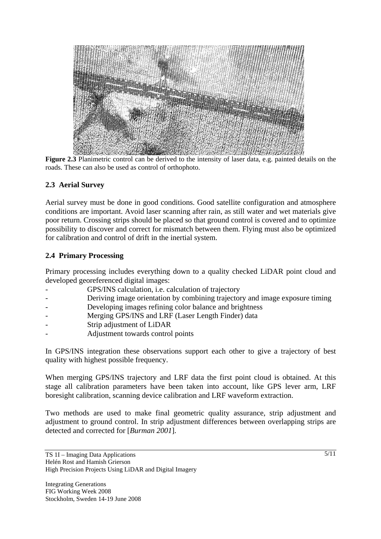

**Figure 2.3** Planimetric control can be derived to the intensity of laser data, e.g. painted details on the roads. These can also be used as control of orthophoto.

## **2.3 Aerial Survey**

Aerial survey must be done in good conditions. Good satellite configuration and atmosphere conditions are important. Avoid laser scanning after rain, as still water and wet materials give poor return. Crossing strips should be placed so that ground control is covered and to optimize possibility to discover and correct for mismatch between them. Flying must also be optimized for calibration and control of drift in the inertial system.

#### **2.4 Primary Processing**

Primary processing includes everything down to a quality checked LiDAR point cloud and developed georeferenced digital images:

- GPS/INS calculation, *i.e.* calculation of trajectory
- Deriving image orientation by combining trajectory and image exposure timing
- Developing images refining color balance and brightness
- Merging GPS/INS and LRF (Laser Length Finder) data
- Strip adjustment of LiDAR
- Adjustment towards control points

In GPS/INS integration these observations support each other to give a trajectory of best quality with highest possible frequency.

When merging GPS/INS trajectory and LRF data the first point cloud is obtained. At this stage all calibration parameters have been taken into account, like GPS lever arm, LRF boresight calibration, scanning device calibration and LRF waveform extraction.

Two methods are used to make final geometric quality assurance, strip adjustment and adjustment to ground control. In strip adjustment differences between overlapping strips are detected and corrected for [*Burman 2001*].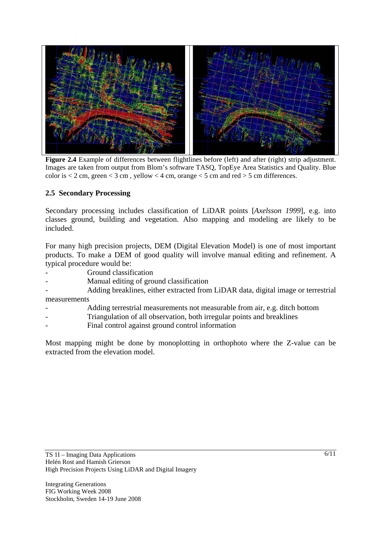

**Figure 2.4** Example of differences between flightlines before (left) and after (right) strip adjustment. Images are taken from output from Blom's software TASQ, TopEye Area Statistics and Quality. Blue color is  $< 2$  cm, green  $< 3$  cm, yellow  $< 4$  cm, orange  $< 5$  cm and red  $> 5$  cm differences.

#### **2.5 Secondary Processing**

Secondary processing includes classification of LiDAR points [*Axelsson 1999*], e.g. into classes ground, building and vegetation. Also mapping and modeling are likely to be included.

For many high precision projects, DEM (Digital Elevation Model) is one of most important products. To make a DEM of good quality will involve manual editing and refinement. A typical procedure would be:

- Ground classification
- Manual editing of ground classification
- Adding breaklines, either extracted from LiDAR data, digital image or terrestrial measurements
- Adding terrestrial measurements not measurable from air, e.g. ditch bottom
- Triangulation of all observation, both irregular points and breaklines
- Final control against ground control information

Most mapping might be done by monoplotting in orthophoto where the Z-value can be extracted from the elevation model.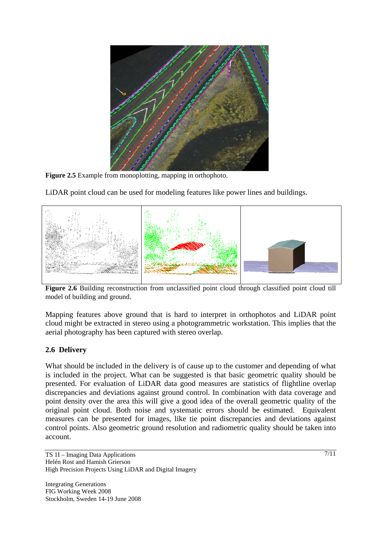

**Figure 2.5** Example from monoplotting, mapping in orthophoto.

LiDAR point cloud can be used for modeling features like power lines and buildings.



**Figure 2.6** Building reconstruction from unclassified point cloud through classified point cloud till model of building and ground.

Mapping features above ground that is hard to interpret in orthophotos and LiDAR point cloud might be extracted in stereo using a photogrammetric workstation. This implies that the aerial photography has been captured with stereo overlap.

## **2.6 Delivery**

What should be included in the delivery is of cause up to the customer and depending of what is included in the project. What can be suggested is that basic geometric quality should be presented. For evaluation of LiDAR data good measures are statistics of flightline overlap discrepancies and deviations against ground control. In combination with data coverage and point density over the area this will give a good idea of the overall geometric quality of the original point cloud. Both noise and systematic errors should be estimated. Equivalent measures can be presented for images, like tie point discrepancies and deviations against control points. Also geometric ground resolution and radiometric quality should be taken into account.

TS 1I – Imaging Data Applications Helén Rost and Hamish Grierson High Precision Projects Using LiDAR and Digital Imagery

Integrating Generations FIG Working Week 2008 Stockholm, Sweden 14-19 June 2008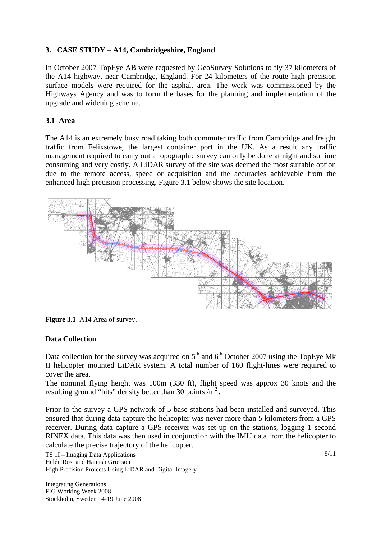## **3. CASE STUDY – A14, Cambridgeshire, England**

In October 2007 TopEye AB were requested by GeoSurvey Solutions to fly 37 kilometers of the A14 highway, near Cambridge, England. For 24 kilometers of the route high precision surface models were required for the asphalt area. The work was commissioned by the Highways Agency and was to form the bases for the planning and implementation of the upgrade and widening scheme.

### **3.1 Area**

The A14 is an extremely busy road taking both commuter traffic from Cambridge and freight traffic from Felixstowe, the largest container port in the UK. As a result any traffic management required to carry out a topographic survey can only be done at night and so time consuming and very costly. A LiDAR survey of the site was deemed the most suitable option due to the remote access, speed or acquisition and the accuracies achievable from the enhanced high precision processing. Figure 3.1 below shows the site location.



**Figure 3.1** A14 Area of survey.

#### **Data Collection**

Data collection for the survey was acquired on  $5<sup>th</sup>$  and  $6<sup>th</sup>$  October 2007 using the TopEye Mk II helicopter mounted LiDAR system. A total number of 160 flight-lines were required to cover the area.

The nominal flying height was 100m (330 ft), flight speed was approx 30 knots and the resulting ground "hits" density better than 30 points  $\overline{m}^2$ .

Prior to the survey a GPS network of 5 base stations had been installed and surveyed. This ensured that during data capture the helicopter was never more than 5 kilometers from a GPS receiver. During data capture a GPS receiver was set up on the stations, logging 1 second RINEX data. This data was then used in conjunction with the IMU data from the helicopter to calculate the precise trajectory of the helicopter.

TS 1I – Imaging Data Applications Helén Rost and Hamish Grierson High Precision Projects Using LiDAR and Digital Imagery

Integrating Generations FIG Working Week 2008 Stockholm, Sweden 14-19 June 2008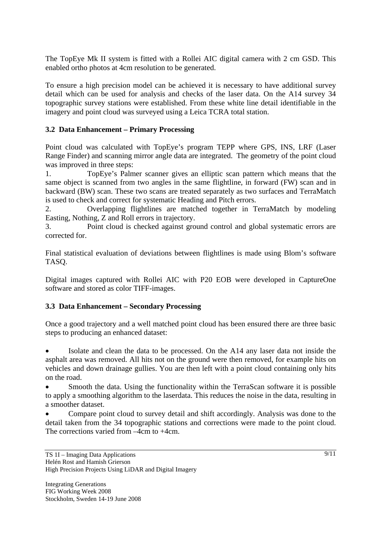The TopEye Mk II system is fitted with a Rollei AIC digital camera with 2 cm GSD. This enabled ortho photos at 4cm resolution to be generated.

To ensure a high precision model can be achieved it is necessary to have additional survey detail which can be used for analysis and checks of the laser data. On the A14 survey 34 topographic survey stations were established. From these white line detail identifiable in the imagery and point cloud was surveyed using a Leica TCRA total station.

### **3.2 Data Enhancement – Primary Processing**

Point cloud was calculated with TopEye's program TEPP where GPS, INS, LRF (Laser Range Finder) and scanning mirror angle data are integrated. The geometry of the point cloud was improved in three steps:

1. TopEye's Palmer scanner gives an elliptic scan pattern which means that the same object is scanned from two angles in the same flightline, in forward (FW) scan and in backward (BW) scan. These two scans are treated separately as two surfaces and TerraMatch is used to check and correct for systematic Heading and Pitch errors.

2. Overlapping flightlines are matched together in TerraMatch by modeling Easting, Nothing, Z and Roll errors in trajectory.

3. Point cloud is checked against ground control and global systematic errors are corrected for.

Final statistical evaluation of deviations between flightlines is made using Blom's software TASQ.

Digital images captured with Rollei AIC with P20 EOB were developed in CaptureOne software and stored as color TIFF-images.

#### **3.3 Data Enhancement – Secondary Processing**

Once a good trajectory and a well matched point cloud has been ensured there are three basic steps to producing an enhanced dataset:

• Isolate and clean the data to be processed. On the A14 any laser data not inside the asphalt area was removed. All hits not on the ground were then removed, for example hits on vehicles and down drainage gullies. You are then left with a point cloud containing only hits on the road.

Smooth the data. Using the functionality within the TerraScan software it is possible to apply a smoothing algorithm to the laserdata. This reduces the noise in the data, resulting in a smoother dataset.

• Compare point cloud to survey detail and shift accordingly. Analysis was done to the detail taken from the 34 topographic stations and corrections were made to the point cloud. The corrections varied from –4cm to +4cm.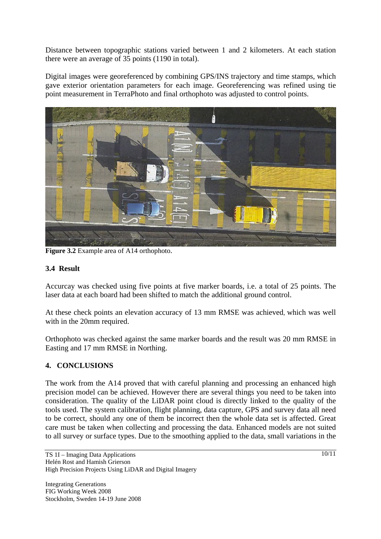Distance between topographic stations varied between 1 and 2 kilometers. At each station there were an average of 35 points (1190 in total).

Digital images were georeferenced by combining GPS/INS trajectory and time stamps, which gave exterior orientation parameters for each image. Georeferencing was refined using tie point measurement in TerraPhoto and final orthophoto was adjusted to control points.



**Figure 3.2** Example area of A14 orthophoto.

### **3.4 Result**

Accurcay was checked using five points at five marker boards, i.e. a total of 25 points. The laser data at each board had been shifted to match the additional ground control.

At these check points an elevation accuracy of 13 mm RMSE was achieved, which was well with in the 20mm required.

Orthophoto was checked against the same marker boards and the result was 20 mm RMSE in Easting and 17 mm RMSE in Northing.

## **4. CONCLUSIONS**

The work from the A14 proved that with careful planning and processing an enhanced high precision model can be achieved. However there are several things you need to be taken into consideration. The quality of the LiDAR point cloud is directly linked to the quality of the tools used. The system calibration, flight planning, data capture, GPS and survey data all need to be correct, should any one of them be incorrect then the whole data set is affected. Great care must be taken when collecting and processing the data. Enhanced models are not suited to all survey or surface types. Due to the smoothing applied to the data, small variations in the